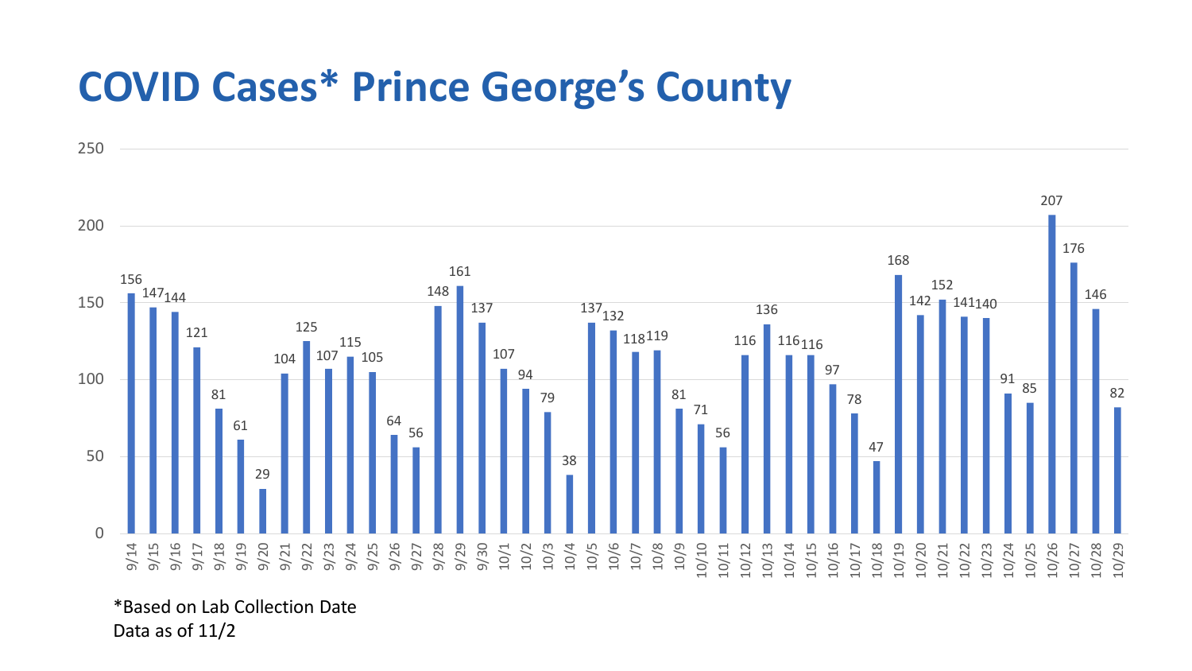## **COVID Cases\* Prince George's County**



\*Based on Lab Collection Date Data as of 11/2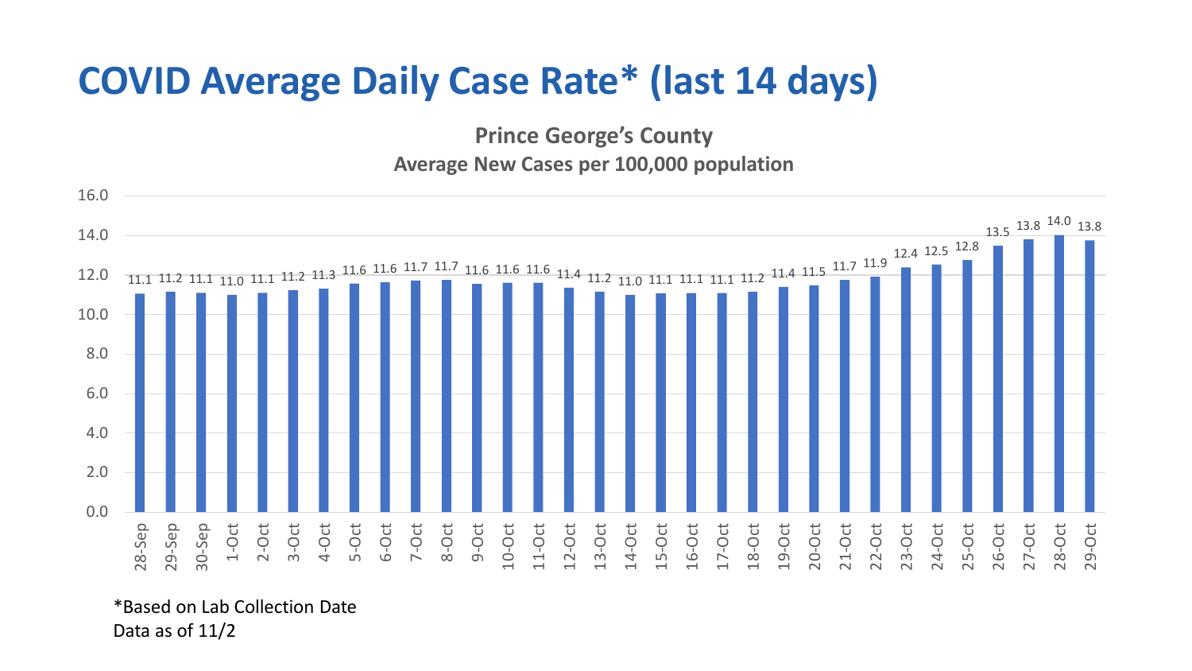## **COVID Average Daily Case Rate\* (last 14 days)**

**Prince George's County Average New Cases per 100,000 population**



\*Based on Lab Collection Date Data as of 11/2